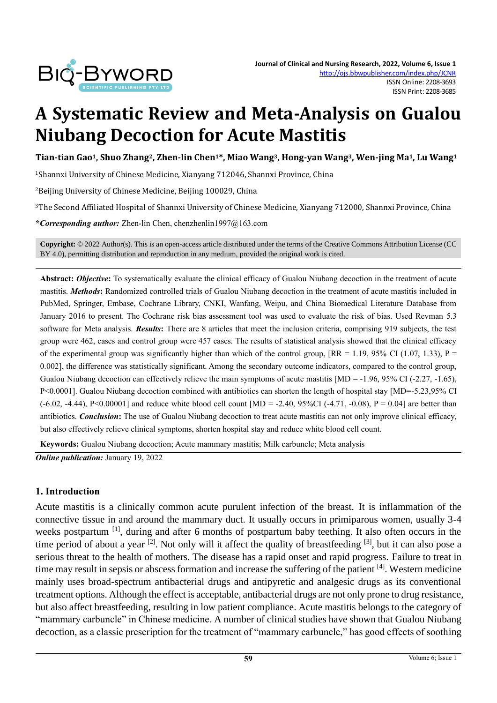

# **A Systematic Review and Meta-Analysis on Gualou Niubang Decoction for Acute Mastitis**

Tian-tian Gao<sup>1</sup>, Shuo Zhang<sup>2</sup>, Zhen-lin Chen<sup>1\*</sup>, Miao Wang<sup>3</sup>, Hong-yan Wang<sup>3</sup>, Wen-jing Ma<sup>1</sup>, Lu Wang<sup>1</sup>

<sup>1</sup>Shannxi University of Chinese Medicine, Xianyang 712046, Shannxi Province, China

<sup>2</sup>Beijing University of Chinese Medicine, Beijing 100029, China

<sup>3</sup>The Second Affiliated Hospital of Shannxi University of Chinese Medicine, Xianyang 712000, Shannxi Province, China

**\****Corresponding author:* Zhen-lin Chen, chenzhenlin1997@163.com

**Copyright:** © 2022 Author(s). This is an open-access article distributed under the terms of th[e Creative Commons Attribution License \(CC](https://creativecommons.org/licenses/by/4.0/)  [BY 4.0\),](https://creativecommons.org/licenses/by/4.0/) permitting distribution and reproduction in any medium, provided the original work is cited.

**Abstract:** *Objective***:** To systematically evaluate the clinical efficacy of Gualou Niubang decoction in the treatment of acute mastitis. *Methods***:** Randomized controlled trials of Gualou Niubang decoction in the treatment of acute mastitis included in PubMed, Springer, Embase, Cochrane Library, CNKI, Wanfang, Weipu, and China Biomedical Literature Database from January 2016 to present. The Cochrane risk bias assessment tool was used to evaluate the risk of bias. Used Revman 5.3 software for Meta analysis. *Results***:** There are 8 articles that meet the inclusion criteria, comprising 919 subjects, the test group were 462, cases and control group were 457 cases. The results of statistical analysis showed that the clinical efficacy of the experimental group was significantly higher than which of the control group,  $[RR = 1.19, 95\% \text{ CI } (1.07, 1.33), P =$ 0.002], the difference was statistically significant. Among the secondary outcome indicators, compared to the control group, Gualou Niubang decoction can effectively relieve the main symptoms of acute mastitis  $[MD = -1.96, 95\% \text{ CI } (-2.27, -1.65)$ , P<0.0001]. Gualou Niubang decoction combined with antibiotics can shorten the length of hospital stay [MD=-5.23,95% CI  $(-6.02, -4.44)$ , P<0.00001] and reduce white blood cell count  $[MD = -2.40, 95\% CI (-4.71, -0.08), P = 0.04]$  are better than antibiotics. *Conclusion***:** The use of Gualou Niubang decoction to treat acute mastitis can not only improve clinical efficacy, but also effectively relieve clinical symptoms, shorten hospital stay and reduce white blood cell count.

**Keywords:** Gualou Niubang decoction; Acute mammary mastitis; Milk carbuncle; Meta analysis

*Online publication:* January 19, 2022

#### **1. Introduction**

Acute mastitis is a clinically common acute purulent infection of the breast. It is inflammation of the connective tissue in and around the mammary duct. It usually occurs in primiparous women, usually 3-4 weeks postpartum <sup>[1]</sup>, during and after 6 months of postpartum baby teething. It also often occurs in the time period of about a year <sup>[2]</sup>. Not only will it affect the quality of breastfeeding <sup>[3]</sup>, but it can also pose a serious threat to the health of mothers. The disease has a rapid onset and rapid progress. Failure to treat in time may result in sepsis or abscess formation and increase the suffering of the patient [4]. Western medicine mainly uses broad-spectrum antibacterial drugs and antipyretic and analgesic drugs as its conventional treatment options. Although the effect is acceptable, antibacterial drugs are not only prone to drug resistance, but also affect breastfeeding, resulting in low patient compliance. Acute mastitis belongs to the category of "mammary carbuncle" in Chinese medicine. A number of clinical studies have shown that Gualou Niubang decoction, as a classic prescription for the treatment of "mammary carbuncle," has good effects of soothing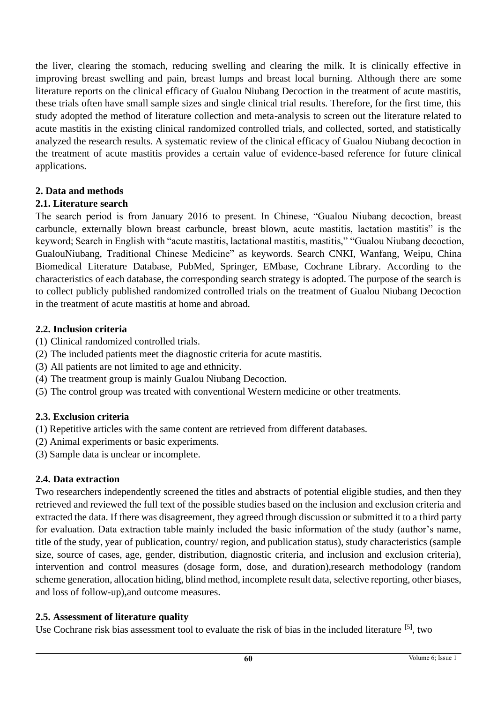the liver, clearing the stomach, reducing swelling and clearing the milk. It is clinically effective in improving breast swelling and pain, breast lumps and breast local burning. Although there are some literature reports on the clinical efficacy of Gualou Niubang Decoction in the treatment of acute mastitis, these trials often have small sample sizes and single clinical trial results. Therefore, for the first time, this study adopted the method of literature collection and meta-analysis to screen out the literature related to acute mastitis in the existing clinical randomized controlled trials, and collected, sorted, and statistically analyzed the research results. A systematic review of the clinical efficacy of Gualou Niubang decoction in the treatment of acute mastitis provides a certain value of evidence-based reference for future clinical applications.

### **2. Data and methods**

#### **2.1. Literature search**

The search period is from January 2016 to present. In Chinese, "Gualou Niubang decoction, breast carbuncle, externally blown breast carbuncle, breast blown, acute mastitis, lactation mastitis" is the keyword; Search in English with "acute mastitis, lactational mastitis, mastitis," "Gualou Niubang decoction, GualouNiubang, Traditional Chinese Medicine" as keywords. Search CNKI, Wanfang, Weipu, China Biomedical Literature Database, PubMed, Springer, EMbase, Cochrane Library. According to the characteristics of each database, the corresponding search strategy is adopted. The purpose of the search is to collect publicly published randomized controlled trials on the treatment of Gualou Niubang Decoction in the treatment of acute mastitis at home and abroad.

#### **2.2. Inclusion criteria**

- (1) Clinical randomized controlled trials.
- (2) The included patients meet the diagnostic criteria for acute mastitis.
- (3) All patients are not limited to age and ethnicity.
- (4) The treatment group is mainly Gualou Niubang Decoction.
- (5) The control group was treated with conventional Western medicine or other treatments.

### **2.3. Exclusion criteria**

- (1) Repetitive articles with the same content are retrieved from different databases.
- (2) Animal experiments or basic experiments.
- (3) Sample data is unclear or incomplete.

### **2.4. Data extraction**

Two researchers independently screened the titles and abstracts of potential eligible studies, and then they retrieved and reviewed the full text of the possible studies based on the inclusion and exclusion criteria and extracted the data. If there was disagreement, they agreed through discussion or submitted it to a third party for evaluation. Data extraction table mainly included the basic information of the study (author's name, title of the study, year of publication, country/ region, and publication status), study characteristics (sample size, source of cases, age, gender, distribution, diagnostic criteria, and inclusion and exclusion criteria), intervention and control measures (dosage form, dose, and duration),research methodology (random scheme generation, allocation hiding, blind method, incomplete result data, selective reporting, other biases, and loss of follow-up),and outcome measures.

### **2.5. Assessment of literature quality**

Use Cochrane risk bias assessment tool to evaluate the risk of bias in the included literature [5], two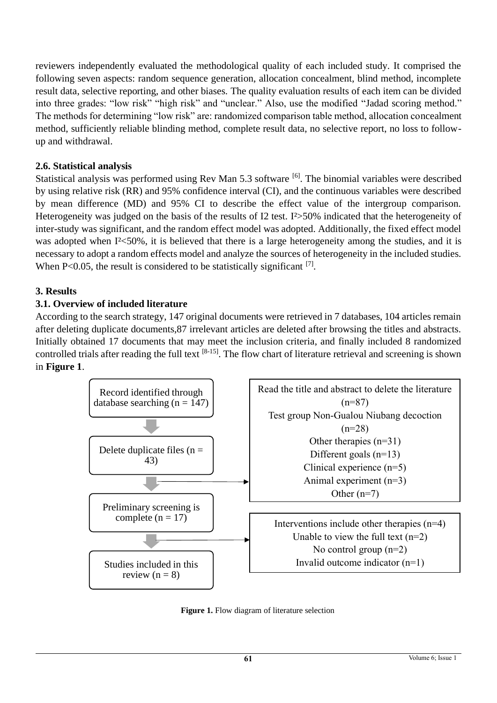reviewers independently evaluated the methodological quality of each included study. It comprised the following seven aspects: random sequence generation, allocation concealment, blind method, incomplete result data, selective reporting, and other biases. The quality evaluation results of each item can be divided into three grades: "low risk" "high risk" and "unclear." Also, use the modified "Jadad scoring method." The methods for determining "low risk" are: randomized comparison table method, allocation concealment method, sufficiently reliable blinding method, complete result data, no selective report, no loss to followup and withdrawal.

### **2.6. Statistical analysis**

Statistical analysis was performed using Rev Man 5.3 software [6]. The binomial variables were described by using relative risk (RR) and 95% confidence interval (CI), and the continuous variables were described by mean difference (MD) and 95% CI to describe the effect value of the intergroup comparison. Heterogeneity was judged on the basis of the results of I2 test. I<sup>2</sup>>50% indicated that the heterogeneity of inter-study was significant, and the random effect model was adopted. Additionally, the fixed effect model was adopted when I<sup>2</sup><50%, it is believed that there is a large heterogeneity among the studies, and it is necessary to adopt a random effects model and analyze the sources of heterogeneity in the included studies. When P<0.05, the result is considered to be statistically significant  $^{[7]}$ .

### **3. Results**

### **3.1. Overview of included literature**

According to the search strategy, 147 original documents were retrieved in 7 databases, 104 articles remain after deleting duplicate documents,87 irrelevant articles are deleted after browsing the titles and abstracts. Initially obtained 17 documents that may meet the inclusion criteria, and finally included 8 randomized controlled trials after reading the full text <sup>[8-15]</sup>. The flow chart of literature retrieval and screening is shown in **Figure 1**.



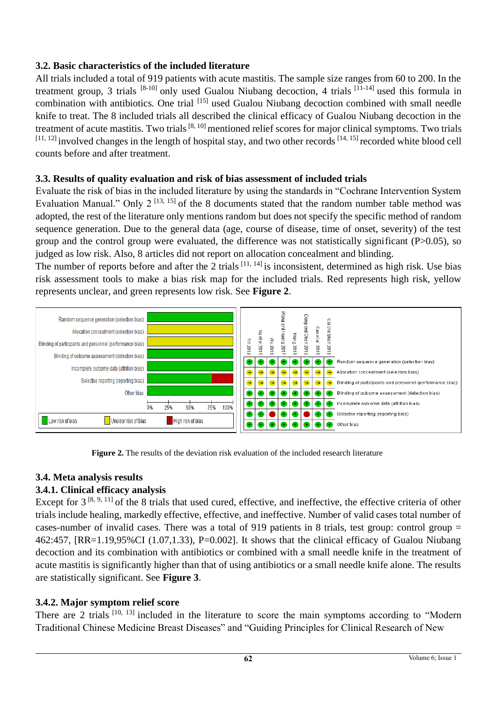### **3.2. Basic characteristics of the included literature**

All trials included a total of 919 patients with acute mastitis. The sample size ranges from 60 to 200. In the treatment group, 3 trials  $[8-10]$  only used Gualou Niubang decoction, 4 trials  $[11-14]$  used this formula in combination with antibiotics. One trial [15] used Gualou Niubang decoction combined with small needle knife to treat. The 8 included trials all described the clinical efficacy of Gualou Niubang decoction in the treatment of acute mastitis. Two trials<sup>[8, 10]</sup> mentioned relief scores for major clinical symptoms. Two trials  $[11, 12]$  involved changes in the length of hospital stay, and two other records  $[14, 15]$  recorded white blood cell counts before and after treatment.

# **3.3. Results of quality evaluation and risk of bias assessment of included trials**

Evaluate the risk of bias in the included literature by using the standards in "Cochrane Intervention System Evaluation Manual." Only  $2^{[13, 15]}$  of the 8 documents stated that the random number table method was adopted, the rest of the literature only mentions random but does not specify the specific method of random sequence generation. Due to the general data (age, course of disease, time of onset, severity) of the test group and the control group were evaluated, the difference was not statistically significant (P>0.05), so judged as low risk. Also, 8 articles did not report on allocation concealment and blinding.

The number of reports before and after the 2 trials  $[11, 14]$  is inconsistent, determined as high risk. Use bias risk assessment tools to make a bias risk map for the included trials. Red represents high risk, yellow represents unclear, and green represents low risk. See **Figure 2**.



 **Figure 2.** The results of the deviation risk evaluation of the included research literature

# **3.4. Meta analysis results**

# **3.4.1. Clinical efficacy analysis**

Except for  $3^{[8, 9, 11]}$  of the 8 trials that used cured, effective, and ineffective, the effective criteria of other trials include healing, markedly effective, effective, and ineffective. Number of valid cases total number of cases-number of invalid cases. There was a total of 919 patients in 8 trials, test group: control group = 462:457, [RR=1.19,95%CI (1.07,1.33), P=0.002]. It shows that the clinical efficacy of Gualou Niubang decoction and its combination with antibiotics or combined with a small needle knife in the treatment of acute mastitis is significantly higher than that of using antibiotics or a small needle knife alone. The results are statistically significant. See **Figure 3**.

### **3.4.2. Major symptom relief score**

There are 2 trials  $[10, 13]$  included in the literature to score the main symptoms according to "Modern" Traditional Chinese Medicine Breast Diseases" and "Guiding Principles for Clinical Research of New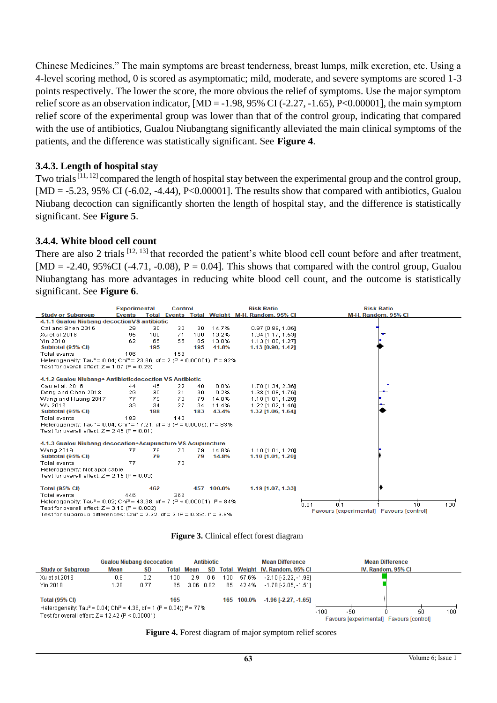Chinese Medicines." The main symptoms are breast tenderness, breast lumps, milk excretion, etc. Using a 4-level scoring method, 0 is scored as asymptomatic; mild, moderate, and severe symptoms are scored 1-3 points respectively. The lower the score, the more obvious the relief of symptoms. Use the major symptom relief score as an observation indicator,  $[MD = -1.98, 95\% \text{ CI} (-2.27, -1.65), P < 0.00001]$ , the main symptom relief score of the experimental group was lower than that of the control group, indicating that compared with the use of antibiotics, Gualou Niubangtang significantly alleviated the main clinical symptoms of the patients, and the difference was statistically significant. See **Figure 4**.

#### **3.4.3. Length of hospital stay**

Two trials<sup>[11, 12]</sup> compared the length of hospital stay between the experimental group and the control group,  $[MD = -5.23, 95\% \text{ CI } (-6.02, -4.44), P < 0.00001]$ . The results show that compared with antibiotics, Gualou Niubang decoction can significantly shorten the length of hospital stay, and the difference is statistically significant. See **Figure 5**.

#### **3.4.4. White blood cell count**

There are also 2 trials [12, 13] that recorded the patient's white blood cell count before and after treatment,  $[MD = -2.40, 95\% CI$  (-4.71, -0.08),  $P = 0.04$ ]. This shows that compared with the control group, Gualou Niubangtang has more advantages in reducing white blood cell count, and the outcome is statistically significant. See **Figure 6**.

|                                                                                                                                      | <b>Experimental</b> |     | <b>Control</b> |     |            | <b>Risk Ratio</b>                             | <b>Risk Ratio</b>                                       |  |  |  |
|--------------------------------------------------------------------------------------------------------------------------------------|---------------------|-----|----------------|-----|------------|-----------------------------------------------|---------------------------------------------------------|--|--|--|
| <b>Study or Subgroup</b>                                                                                                             | <b>Events</b>       |     |                |     |            | Total Events Total Weight M-H, Random, 95% CI | M-H. Random, 95% CI                                     |  |  |  |
| 4.1.1 Gualou Niubang decoctionVS antibiotic                                                                                          |                     |     |                |     |            |                                               |                                                         |  |  |  |
| Cai and Shen 2016                                                                                                                    | 29                  | 30  | 30             | 30  | 14.7%      | $0.97$ [0.88, 1.06]                           |                                                         |  |  |  |
| Xu et al.2016                                                                                                                        | 95                  | 100 | 71             | 100 | 13.2%      | 1.34 [1.17, 1.53]                             |                                                         |  |  |  |
| Yin 2018                                                                                                                             | 62                  | 65  | 55             | 65  | 13.8%      | 1.13 [1.00, 1.27]                             |                                                         |  |  |  |
| Subtotal (95% CI)                                                                                                                    |                     | 195 |                | 195 | 41.8%      | 1.13 [0.90, 1.42]                             |                                                         |  |  |  |
| <b>Total events</b>                                                                                                                  | 186                 |     | 156            |     |            |                                               |                                                         |  |  |  |
| Heterogeneity: Tau <sup>2</sup> = 0.04; Chi <sup>2</sup> = 23.86, df = 2 (P < 0.00001); i <sup>2</sup> = 92%                         |                     |     |                |     |            |                                               |                                                         |  |  |  |
| Test for overall effect: $Z = 1.07$ (P = 0.29)                                                                                       |                     |     |                |     |            |                                               |                                                         |  |  |  |
|                                                                                                                                      |                     |     |                |     |            |                                               |                                                         |  |  |  |
| 4.1.2 Gualou Niubang + Antibiotic decoction VS Antibiotic                                                                            |                     |     |                |     |            |                                               |                                                         |  |  |  |
| Cao et al. 2016                                                                                                                      | 44                  | 45  | 22             | 40  | 8.0%       | 1.78 [1.34, 2.36]                             |                                                         |  |  |  |
| Dong and Chen 2018                                                                                                                   | 29                  | 30  | 21             | 30  | 9.2%       | 1.38 [1.08, 1.76]                             |                                                         |  |  |  |
| Wang and Huang 2017                                                                                                                  | 77                  | 79  | 70             | 79. | 14.8%      | 1.10 [1.01, 1.20]                             |                                                         |  |  |  |
| Wu 2016                                                                                                                              | 33                  | 34  | 27             | 34  | 11.4%      | 1.22 [1.02, 1.46]                             |                                                         |  |  |  |
| Subtotal (95% CI)                                                                                                                    |                     | 188 |                | 183 | 43.4%      | 1.32 [1.06, 1.64]                             |                                                         |  |  |  |
| Total events                                                                                                                         | 183                 |     | 140            |     |            |                                               |                                                         |  |  |  |
| Heterogeneity: Tau <sup>2</sup> = 0.04; Chi <sup>2</sup> = 17.21, df = 3 (P = 0.0006); l <sup>2</sup> = 83%                          |                     |     |                |     |            |                                               |                                                         |  |  |  |
| Test for overall effect: $Z = 2.45$ (P = 0.01)                                                                                       |                     |     |                |     |            |                                               |                                                         |  |  |  |
| 4.1.3 Gualou Niubang decocation+Acupuncture VS Acupuncture                                                                           |                     |     |                |     |            |                                               |                                                         |  |  |  |
| <b>Wang 2019</b>                                                                                                                     | 77                  | 79  | 70             | 79  | 14.8%      | 1.10 [1.01, 1.20]                             |                                                         |  |  |  |
| Subtotal (95% CI)                                                                                                                    |                     | 79  |                | 79  | 14.8%      | 1.10 [1.01, 1.20]                             |                                                         |  |  |  |
| <b>Total events</b>                                                                                                                  | 77                  |     | 70             |     |            |                                               |                                                         |  |  |  |
| Heterogeneity: Not applicable                                                                                                        |                     |     |                |     |            |                                               |                                                         |  |  |  |
|                                                                                                                                      |                     |     |                |     |            |                                               |                                                         |  |  |  |
| Test for overall effect: $Z = 2.15$ (P = 0.03)                                                                                       |                     |     |                |     |            |                                               |                                                         |  |  |  |
| <b>Total (95% CI)</b>                                                                                                                |                     | 462 |                |     | 457 100.0% | 1.19 [1.07, 1.33]                             |                                                         |  |  |  |
| <b>Total events</b>                                                                                                                  | 446                 |     | 366            |     |            |                                               |                                                         |  |  |  |
| Heterogeneity: Tau <sup>2</sup> = 0.02; Chi <sup>2</sup> = 43.38, df = 7 (P < 0.00001); i <sup>2</sup> = 84%<br>0 <sup>1</sup><br>10 |                     |     |                |     |            |                                               |                                                         |  |  |  |
| Test for overall effect: $Z = 3.10$ (P = 0.002)                                                                                      |                     |     |                |     |            |                                               | 0.01<br>100<br>Favours [experimental] Favours [control] |  |  |  |
| Test for subgroup differences: Chi <sup>2</sup> = 2.22, df = 2 (P = 0.33), $P = 9.8\%$                                               |                     |     |                |     |            |                                               |                                                         |  |  |  |

| <b>Figure 3.</b> Clinical effect forest diagram |  |  |
|-------------------------------------------------|--|--|
|-------------------------------------------------|--|--|

|                                                                                                                                                      | <b>Gualou Niubang decocation</b><br><b>Antibiotic</b> |      |     |                   |               | <b>Mean Difference</b> | <b>Mean Difference</b> |                                                                        |                    |
|------------------------------------------------------------------------------------------------------------------------------------------------------|-------------------------------------------------------|------|-----|-------------------|---------------|------------------------|------------------------|------------------------------------------------------------------------|--------------------|
| <b>Study or Subgroup</b>                                                                                                                             | Mean                                                  | SD   |     | <b>Total Mean</b> | <b>SD</b>     |                        |                        | Total Weight IV, Random, 95% CI                                        | IV. Random, 95% CI |
| Xu et al.2016                                                                                                                                        | 0.8                                                   | 0.2  | 100 | 2.9               | 0.6           | 100.                   | 57.6%                  | $-2.10$ F $2.22$ . $-1.981$                                            |                    |
| Yin 2018                                                                                                                                             | 1.28                                                  | 0.77 | 65  |                   | $3.06$ $0.82$ |                        | 65 42.4%               | $-1.78$ F 2.05. $-1.511$                                               |                    |
| <b>Total (95% CI)</b>                                                                                                                                |                                                       |      | 165 |                   |               |                        | 165 100.0%             | $-1.96$ [ $-2.27$ , $-1.65$ ]                                          |                    |
| Heterogeneity: Tau <sup>2</sup> = 0.04; Chi <sup>2</sup> = 4.36, df = 1 (P = 0.04); $P = 77\%$<br>Test for overall effect: $Z = 12.42$ (P < 0.00001) |                                                       |      |     |                   |               |                        |                        | $-100$<br>100<br>50<br>-50<br>Favours [experimental] Favours [control] |                    |

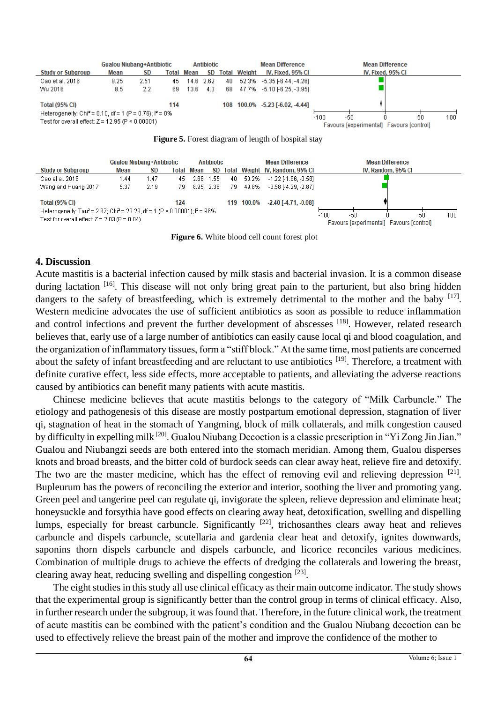

**Total (95% CI)** 

Heterogeneity: Tau<sup>2</sup> = 2.67; Chi<sup>2</sup> = 23.28, df = 1 (P < 0.00001); i<sup>2</sup> = 96% Test for overall effect:  $Z = 2.03$  (P = 0.04)

124

 **Figure 6.** White blood cell count forest plot

100.0%

119

 $-2.40$  [ $-4.71, -0.08$ ]

 $-100$ 

-50

Ó

Favours [experimental] Favours [control]

 $50$ 

 $100$ 

#### **4. Discussion**

Acute mastitis is a bacterial infection caused by milk stasis and bacterial invasion. It is a common disease during lactation <sup>[16]</sup>. This disease will not only bring great pain to the parturient, but also bring hidden dangers to the safety of breastfeeding, which is extremely detrimental to the mother and the baby  $[17]$ . Western medicine advocates the use of sufficient antibiotics as soon as possible to reduce inflammation and control infections and prevent the further development of abscesses [18]. However, related research believes that, early use of a large number of antibiotics can easily cause local qi and blood coagulation, and the organization of inflammatory tissues, form a "stiff block." At the same time, most patients are concerned about the safety of infant breastfeeding and are reluctant to use antibiotics <sup>[19]</sup>. Therefore, a treatment with definite curative effect, less side effects, more acceptable to patients, and alleviating the adverse reactions caused by antibiotics can benefit many patients with acute mastitis.

Chinese medicine believes that acute mastitis belongs to the category of "Milk Carbuncle." The etiology and pathogenesis of this disease are mostly postpartum emotional depression, stagnation of liver qi, stagnation of heat in the stomach of Yangming, block of milk collaterals, and milk congestion caused by difficulty in expelling milk [20]. Gualou Niubang Decoction is a classic prescription in "Yi Zong Jin Jian." Gualou and Niubangzi seeds are both entered into the stomach meridian. Among them, Gualou disperses knots and broad breasts, and the bitter cold of burdock seeds can clear away heat, relieve fire and detoxify. The two are the master medicine, which has the effect of removing evil and relieving depression [21]. Bupleurum has the powers of reconciling the exterior and interior, soothing the liver and promoting yang. Green peel and tangerine peel can regulate qi, invigorate the spleen, relieve depression and eliminate heat; honeysuckle and forsythia have good effects on clearing away heat, detoxification, swelling and dispelling lumps, especially for breast carbuncle. Significantly  $[22]$ , trichosanthes clears away heat and relieves carbuncle and dispels carbuncle, scutellaria and gardenia clear heat and detoxify, ignites downwards, saponins thorn dispels carbuncle and dispels carbuncle, and licorice reconciles various medicines. Combination of multiple drugs to achieve the effects of dredging the collaterals and lowering the breast, clearing away heat, reducing swelling and dispelling congestion [23].

The eight studies in this study all use clinical efficacy as their main outcome indicator. The study shows that the experimental group is significantly better than the control group in terms of clinical efficacy. Also, in further research under the subgroup, it was found that. Therefore, in the future clinical work, the treatment of acute mastitis can be combined with the patient's condition and the Gualou Niubang decoction can be used to effectively relieve the breast pain of the mother and improve the confidence of the mother to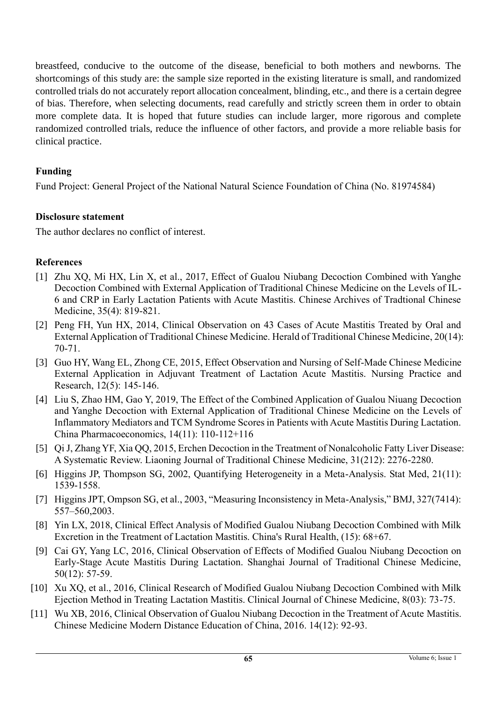breastfeed, conducive to the outcome of the disease, beneficial to both mothers and newborns. The shortcomings of this study are: the sample size reported in the existing literature is small, and randomized controlled trials do not accurately report allocation concealment, blinding, etc., and there is a certain degree of bias. Therefore, when selecting documents, read carefully and strictly screen them in order to obtain more complete data. It is hoped that future studies can include larger, more rigorous and complete randomized controlled trials, reduce the influence of other factors, and provide a more reliable basis for clinical practice.

### **Funding**

Fund Project: General Project of the National Natural Science Foundation of China (No. 81974584)

### **Disclosure statement**

The author declares no conflict of interest.

### **References**

- [1] Zhu XQ, Mi HX, Lin X, et al., 2017, Effect of Gualou Niubang Decoction Combined with Yanghe Decoction Combined with External Application of Traditional Chinese Medicine on the Levels of IL-6 and CRP in Early Lactation Patients with Acute Mastitis. Chinese Archives of Tradtional Chinese Medicine, 35(4): 819-821.
- [2] Peng FH, Yun HX, 2014, Clinical Observation on 43 Cases of Acute Mastitis Treated by Oral and External Application of Traditional Chinese Medicine. Herald of Traditional Chinese Medicine, 20(14): 70-71.
- [3] Guo HY, Wang EL, Zhong CE, 2015, Effect Observation and Nursing of Self-Made Chinese Medicine External Application in Adjuvant Treatment of Lactation Acute Mastitis. Nursing Practice and Research, 12(5): 145-146.
- [4] Liu S, Zhao HM, Gao Y, 2019, The Effect of the Combined Application of Gualou Niuang Decoction and Yanghe Decoction with External Application of Traditional Chinese Medicine on the Levels of Inflammatory Mediators and TCM Syndrome Scores in Patients with Acute Mastitis During Lactation. China Pharmacoeconomics, 14(11): 110-112+116
- [5] Qi J, Zhang YF, Xia QQ, 2015, Erchen Decoction in the Treatment of Nonalcoholic Fatty Liver Disease: A Systematic Review. Liaoning Journal of Traditional Chinese Medicine, 31(212): 2276-2280.
- [6] Higgins JP, Thompson SG, 2002, Quantifying Heterogeneity in a Meta-Analysis. Stat Med, 21(11): 1539-1558.
- [7] Higgins JPT, Ompson SG, et al., 2003, "Measuring Inconsistency in Meta-Analysis," BMJ, 327(7414): 557–560,2003.
- [8] Yin LX, 2018, Clinical Effect Analysis of Modified Gualou Niubang Decoction Combined with Milk Excretion in the Treatment of Lactation Mastitis. China's Rural Health, (15): 68+67.
- [9] Cai GY, Yang LC, 2016, Clinical Observation of Effects of Modified Gualou Niubang Decoction on Early-Stage Acute Mastitis During Lactation. Shanghai Journal of Traditional Chinese Medicine, 50(12): 57-59.
- [10] Xu XQ, et al., 2016, Clinical Research of Modified Gualou Niubang Decoction Combined with Milk Ejection Method in Treating Lactation Mastitis. Clinical Journal of Chinese Medicine, 8(03): 73-75.
- [11] Wu XB, 2016, Clinical Observation of Gualou Niubang Decoction in the Treatment of Acute Mastitis. Chinese Medicine Modern Distance Education of China, 2016. 14(12): 92-93.